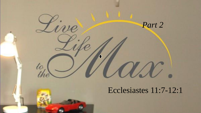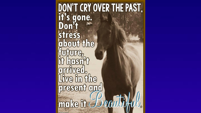# DON'T CRY OVER THE PAST,<br>it's gone.<br>Don't stress<br>about the future,<br>it hasn<sup>y</sup>t arrived.<br>Live in the<br>present and make it Beautik

official common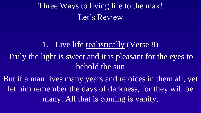Three Ways to living life to the max! Let's Review

#### 1. Live life realistically (Verse 8)

Truly the light is sweet and it is pleasant for the eyes to behold the sun

But if a man lives many years and rejoices in them all, yet let him remember the days of darkness, for they will be many. All that is coming is vanity.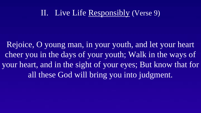#### II. Live Life Responsibly (Verse 9)

Rejoice, O young man, in your youth, and let your heart cheer you in the days of your youth; Walk in the ways of your heart, and in the sight of your eyes; But know that for all these God will bring you into judgment.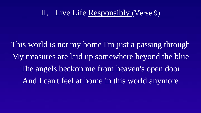#### II. Live Life Responsibly (Verse 9)

This world is not my home I'm just a passing through My treasures are laid up somewhere beyond the blue The angels beckon me from heaven's open door And I can't feel at home in this world anymore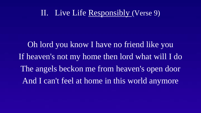#### II. Live Life Responsibly (Verse 9)

Oh lord you know I have no friend like you If heaven's not my home then lord what will I do The angels beckon me from heaven's open door And I can't feel at home in this world anymore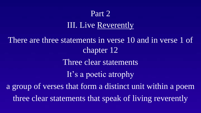#### Part 2

### III. Live Reverently

There are three statements in verse 10 and in verse 1 of chapter 12 Three clear statements It's a poetic atrophy a group of verses that form a distinct unit within a poem three clear statements that speak of living reverently